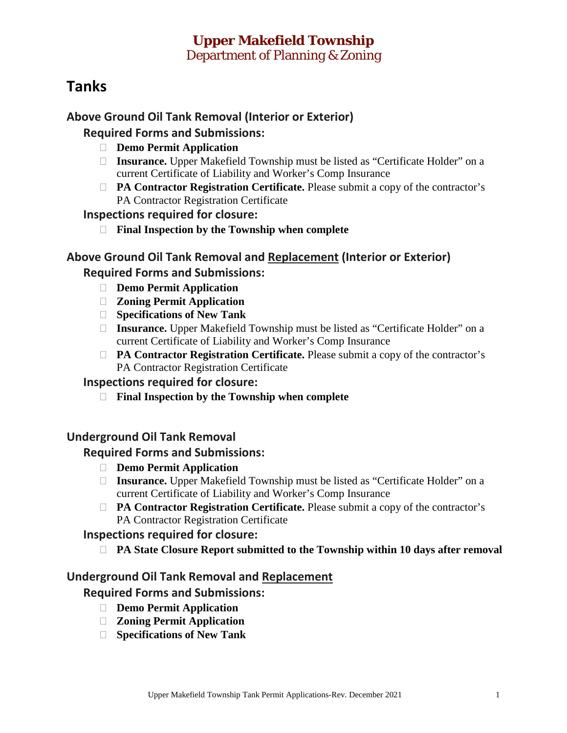## **Upper Makefield Township**  Department of Planning & Zoning

# **Tanks**

## **Above Ground Oil Tank Removal (Interior or Exterior)**

#### **Required Forms and Submissions:**

- **Demo Permit Application**
- □ **Insurance.** Upper Makefield Township must be listed as "Certificate Holder" on a current Certificate of Liability and Worker's Comp Insurance
- **PA Contractor Registration Certificate.** Please submit a copy of the contractor's PA Contractor Registration Certificate

#### **Inspections required for closure:**

**Final Inspection by the Township when complete**

### **Above Ground Oil Tank Removal and Replacement (Interior or Exterior) Required Forms and Submissions:**

- **Demo Permit Application**
- **Zoning Permit Application**
- **Specifications of New Tank**
- □ **Insurance.** Upper Makefield Township must be listed as "Certificate Holder" on a current Certificate of Liability and Worker's Comp Insurance
- **PA Contractor Registration Certificate.** Please submit a copy of the contractor's PA Contractor Registration Certificate

#### **Inspections required for closure:**

**Final Inspection by the Township when complete**

#### **Underground Oil Tank Removal**

#### **Required Forms and Submissions:**

- **Demo Permit Application**
- □ **Insurance.** Upper Makefield Township must be listed as "Certificate Holder" on a current Certificate of Liability and Worker's Comp Insurance
- **PA Contractor Registration Certificate.** Please submit a copy of the contractor's PA Contractor Registration Certificate

#### **Inspections required for closure:**

**PA State Closure Report submitted to the Township within 10 days after removal**

#### **Underground Oil Tank Removal and Replacement**

#### **Required Forms and Submissions:**

- **Demo Permit Application**
- **Zoning Permit Application**
- **Specifications of New Tank**